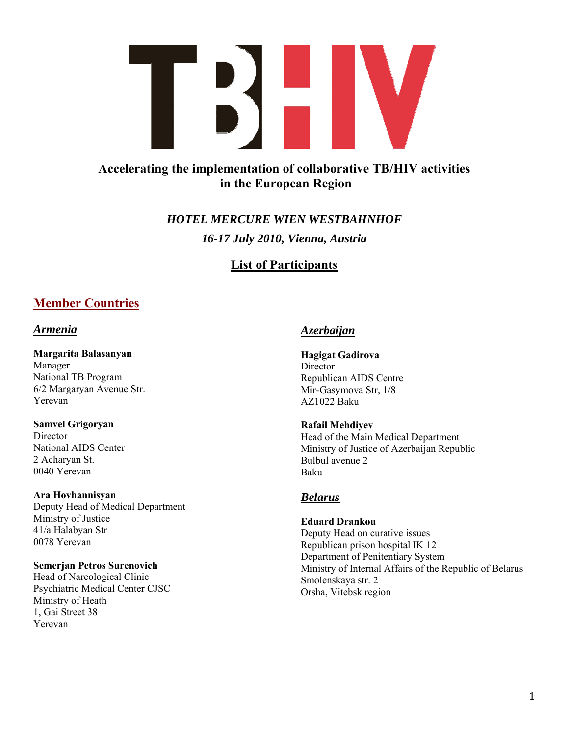

# **Accelerating the implementation of collaborative TB/HIV activities in the European Region**

*HOTEL MERCURE WIEN WESTBAHNHOF 16-17 July 2010, Vienna, Austria* 

# **List of Participants**

# **Member Countries**

# *Armenia*

**Margarita Balasanyan** 

Manager National TB Program 6/2 Margaryan Avenue Str. Yerevan

**Samvel Grigoryan Director** 

National AIDS Center 2 Acharyan St. 0040 Yerevan

**Ara Hovhannisyan**  Deputy Head of Medical Department Ministry of Justice 41/a Halabyan Str 0078 Yerevan

**Semerjan Petros Surenovich**  Head of Narcological Clinic Psychiatric Medical Center CJSC Ministry of Heath 1, Gai Street 38 Yerevan

# *Azerbaijan*

**Hagigat Gadirova**  Director Republican AIDS Centre Mir-Gasymova Str, 1/8 AZ1022 Baku

**Rafail Mehdiyev**  Head of the Main Medical Department Ministry of Justice of Azerbaijan Republic Bulbul avenue 2 Baku

# *Belarus*

**Eduard Drankou**  Deputy Head on curative issues Republican prison hospital IK 12 Department of Penitentiary System Ministry of Internal Affairs of the Republic of Belarus Smolenskaya str. 2 Orsha, Vitebsk region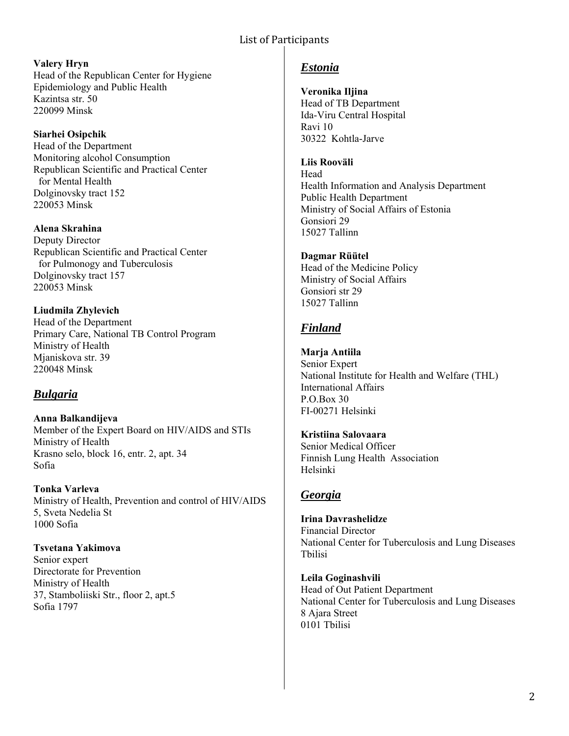**Valery Hryn**  Head of the Republican Center for Hygiene Epidemiology and Public Health Kazintsa str. 50 220099 Minsk

**Siarhei Osipchik**  Head of the Department Monitoring alcohol Consumption Republican Scientific and Practical Center for Mental Health Dolginovsky tract 152 220053 Minsk

**Alena Skrahina**  Deputy Director Republican Scientific and Practical Center for Pulmonogy and Tuberculosis Dolginovsky tract 157 220053 Minsk

**Liudmila Zhylevich**  Head of the Department Primary Care, National TB Control Program Ministry of Health Mjaniskova str. 39 220048 Minsk

# *Bulgaria*

**Anna Balkandijeva**  Member of the Expert Board on HIV/AIDS and STIs Ministry of Health Krasno selo, block 16, entr. 2, apt. 34 Sofia

**Tonka Varleva**  Ministry of Health, Prevention and control of HIV/AIDS 5, Sveta Nedelia St 1000 Sofia

**Tsvetana Yakimova**  Senior expert Directorate for Prevention Ministry of Health 37, Stamboliiski Str., floor 2, apt.5 Sofia 1797

# *Estonia*

**Veronika Iljina** 

Head of TB Department Ida-Viru Central Hospital Ravi 10 30322 Kohtla-Jarve

**Liis Rooväli** 

Head Health Information and Analysis Department Public Health Department Ministry of Social Affairs of Estonia Gonsiori 29 15027 Tallinn

**Dagmar Rüütel**  Head of the Medicine Policy Ministry of Social Affairs Gonsiori str 29 15027 Tallinn

# *Finland*

**Marja Antiila**  Senior Expert National Institute for Health and Welfare (THL) International Affairs P.O.Box 30 FI-00271 Helsinki

**Kristiina Salovaara**  Senior Medical Officer Finnish Lung Health Association Helsinki

# *Georgia*

**Irina Davrashelidze**  Financial Director National Center for Tuberculosis and Lung Diseases Tbilisi

**Leila Goginashvili**  Head of Out Patient Department National Center for Tuberculosis and Lung Diseases 8 Ajara Street 0101 Tbilisi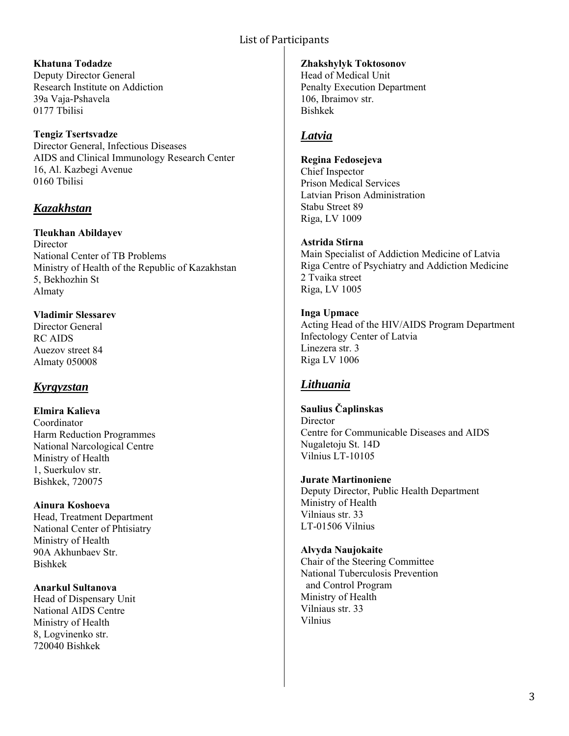### **Khatuna Todadze**

Deputy Director General Research Institute on Addiction 39a Vaja-Pshavela 0177 Tbilisi

### **Tengiz Tsertsvadze**

Director General, Infectious Diseases AIDS and Clinical Immunology Research Center 16, Al. Kazbegi Avenue 0160 Tbilisi

# *Kazakhstan*

**Tleukhan Abildayev Director** National Center of TB Problems Ministry of Health of the Republic of Kazakhstan 5, Bekhozhin St Almaty

**Vladimir Slessarev**  Director General RC AIDS Auezov street 84 Almaty 050008

# *Kyrgyzstan*

**Elmira Kalieva**  Coordinator Harm Reduction Programmes National Narcological Centre Ministry of Health 1, Suerkulov str. Bishkek, 720075

**Ainura Koshoeva**  Head, Treatment Department National Center of Phtisiatry Ministry of Health 90A Akhunbaev Str. Bishkek

**Anarkul Sultanova**  Head of Dispensary Unit National AIDS Centre Ministry of Health 8, Logvinenko str. 720040 Bishkek

#### **Zhakshylyk Toktosonov**

Head of Medical Unit Penalty Execution Department 106, Ibraimov str. Bishkek

# *Latvia*

### **Regina Fedosejeva**

Chief Inspector Prison Medical Services Latvian Prison Administration Stabu Street 89 Riga, LV 1009

### **Astrida Stirna**

Main Specialist of Addiction Medicine of Latvia Riga Centre of Psychiatry and Addiction Medicine 2 Tvaika street Riga, LV 1005

### **Inga Upmace**

Acting Head of the HIV/AIDS Program Department Infectology Center of Latvia Linezera str. 3 Riga LV 1006

# *Lithuania*

### **Saulius Čaplinskas**

**Director** Centre for Communicable Diseases and AIDS Nugaletoju St. 14D Vilnius LT-10105

### **Jurate Martinoniene**

Deputy Director, Public Health Department Ministry of Health Vilniaus str. 33 LT-01506 Vilnius

### **Alvyda Naujokaite**

Chair of the Steering Committee National Tuberculosis Prevention and Control Program Ministry of Health Vilniaus str. 33 Vilnius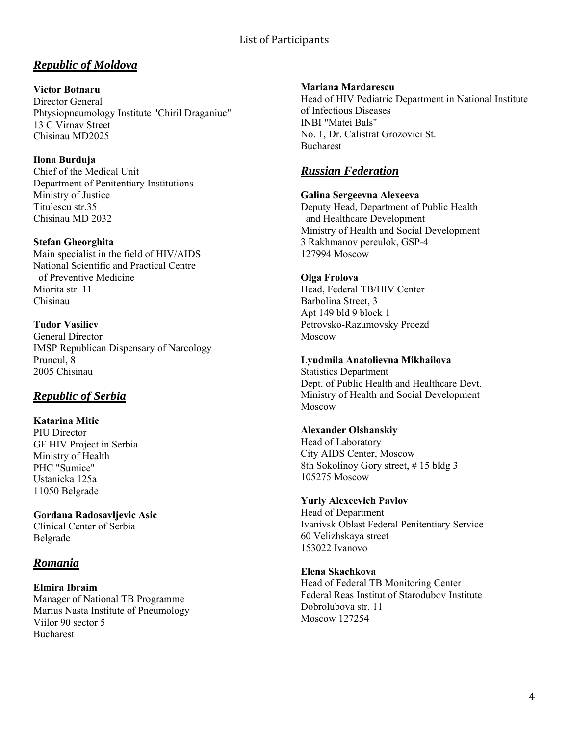# *Republic of Moldova*

**Victor Botnaru**  Director General Phtysiopneumology Institute "Chiril Draganiuc" 13 C Virnav Street Chisinau MD2025

**Ilona Burduja**  Chief of the Medical Unit Department of Penitentiary Institutions Ministry of Justice Titulescu str.35 Chisinau MD 2032

**Stefan Gheorghita**  Main specialist in the field of HIV/AIDS National Scientific and Practical Centre of Preventive Medicine Miorita str. 11 Chisinau

**Tudor Vasiliev**  General Director IMSP Republican Dispensary of Narcology Pruncul, 8 2005 Chisinau

# *Republic of Serbia*

**Katarina Mitic**  PIU Director GF HIV Project in Serbia Ministry of Health PHC "Sumice" Ustanicka 125a 11050 Belgrade

**Gordana Radosavljevic Asic**  Clinical Center of Serbia Belgrade

## *Romania*

**Elmira Ibraim**  Manager of National TB Programme Marius Nasta Institute of Pneumology Viilor 90 sector 5 Bucharest

#### **Mariana Mardarescu**

Head of HIV Pediatric Department in National Institute of Infectious Diseases INBI "Matei Bals" No. 1, Dr. Calistrat Grozovici St. Bucharest

# *Russian Federation*

**Galina Sergeevna Alexeeva**  Deputy Head, Department of Public Health

 and Healthcare Development Ministry of Health and Social Development 3 Rakhmanov pereulok, GSP-4 127994 Moscow

## **Olga Frolova**

Head, Federal TB/HIV Center Barbolina Street, 3 Apt 149 bld 9 block 1 Petrovsko-Razumovsky Proezd Moscow

**Lyudmila Anatolievna Mikhailova** 

Statistics Department Dept. of Public Health and Healthcare Devt. Ministry of Health and Social Development Moscow

### **Alexander Olshanskiy**

Head of Laboratory City AIDS Center, Moscow 8th Sokolinoy Gory street, # 15 bldg 3 105275 Moscow

#### **Yuriy Alexeevich Pavlov**

Head of Department Ivanivsk Oblast Federal Penitentiary Service 60 Velizhskaya street 153022 Ivanovo

#### **Elena Skachkova**

Head of Federal TB Monitoring Center Federal Reas Institut of Starodubov Institute Dobrolubova str. 11 Moscow 127254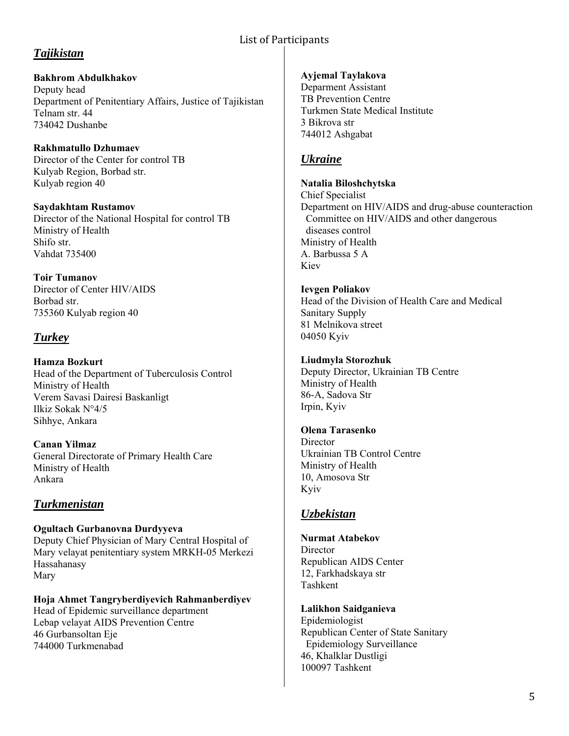# *Tajikistan*

**Bakhrom Abdulkhakov**  Deputy head Department of Penitentiary Affairs, Justice of Tajikistan Telnam str. 44 734042 Dushanbe

**Rakhmatullo Dzhumaev**  Director of the Center for control TB Kulyab Region, Borbad str. Kulyab region 40

**Saydakhtam Rustamov**  Director of the National Hospital for control TB Ministry of Health Shifo str. Vahdat 735400

**Toir Tumanov**  Director of Center HIV/AIDS Borbad str. 735360 Kulyab region 40

# *Turkey*

**Hamza Bozkurt**  Head of the Department of Tuberculosis Control Ministry of Health Verem Savasi Dairesi Baskanligt Ilkiz Sokak N°4/5 Sihhye, Ankara

**Canan Yilmaz**  General Directorate of Primary Health Care Ministry of Health Ankara

# *Turkmenistan*

**Ogultach Gurbanovna Durdyyeva**  Deputy Chief Physician of Mary Central Hospital of Mary velayat penitentiary system MRKH-05 Merkezi Hassahanasy Mary

**Hoja Ahmet Tangryberdiyevich Rahmanberdiyev**  Head of Epidemic surveillance department Lebap velayat AIDS Prevention Centre 46 Gurbansoltan Eje 744000 Turkmenabad

### **Ayjemal Taylakova**

Deparment Assistant TB Prevention Centre Turkmen State Medical Institute 3 Bikrova str 744012 Ashgabat

# *Ukraine*

**Natalia Biloshchytska**  Chief Specialist Department on HIV/AIDS and drug-abuse counteraction Committee on HIV/AIDS and other dangerous diseases control Ministry of Health A. Barbussa 5 A Kiev

**Ievgen Poliakov**  Head of the Division of Health Care and Medical Sanitary Supply 81 Melnikova street 04050 Kyiv

### **Liudmyla Storozhuk**  Deputy Director, Ukrainian TB Centre Ministry of Health 86-A, Sadova Str Irpin, Kyiv

**Olena Tarasenko Director** Ukrainian TB Control Centre Ministry of Health 10, Amosova Str Kyiv

# *Uzbekistan*

**Nurmat Atabekov Director** Republican AIDS Center 12, Farkhadskaya str Tashkent

**Lalikhon Saidganieva**  Epidemiologist Republican Center of State Sanitary Epidemiology Surveillance 46, Khalklar Dustligi 100097 Tashkent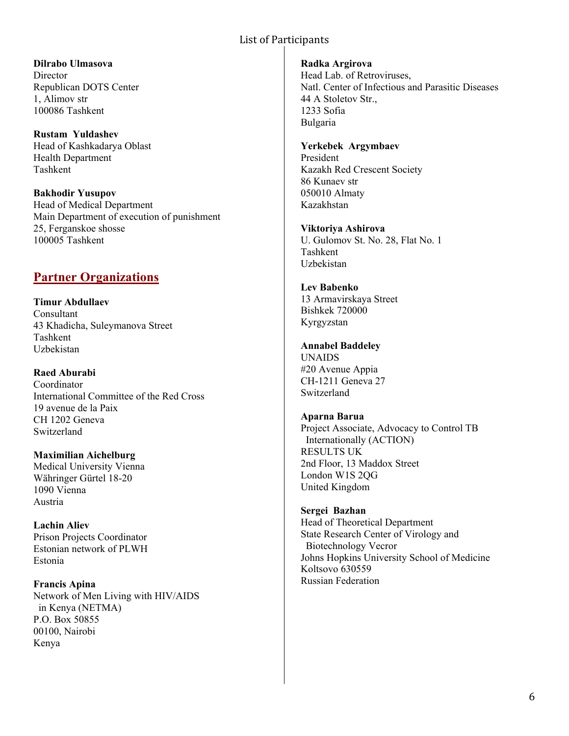**Dilrabo Ulmasova Director** Republican DOTS Center 1, Alimov str 100086 Tashkent

**Rustam Yuldashev**  Head of Kashkadarya Oblast Health Department Tashkent

**Bakhodir Yusupov**  Head of Medical Department Main Department of execution of punishment 25, Ferganskoe shosse 100005 Tashkent

# **Partner Organizations**

**Timur Abdullaev**  Consultant 43 Khadicha, Suleymanova Street Tashkent Uzbekistan

**Raed Aburabi**  Coordinator International Committee of the Red Cross 19 avenue de la Paix CH 1202 Geneva Switzerland

**Maximilian Aichelburg**  Medical University Vienna Währinger Gürtel 18-20 1090 Vienna Austria

**Lachin Aliev**  Prison Projects Coordinator Estonian network of PLWH Estonia

**Francis Apina**  Network of Men Living with HIV/AIDS in Kenya (NETMA) P.O. Box 50855 00100, Nairobi Kenya

**Radka Argirova**  Head Lab. of Retroviruses, Natl. Center of Infectious and Parasitic Diseases 44 A Stoletov Str., 1233 Sofia Bulgaria

#### **Yerkebek Argymbaev**

President Kazakh Red Crescent Society 86 Kunaev str 050010 Almaty Kazakhstan

**Viktoriya Ashirova**  U. Gulomov St. No. 28, Flat No. 1 Tashkent Uzbekistan

**Lev Babenko**  13 Armavirskaya Street Bishkek 720000 Kyrgyzstan

**Annabel Baddeley**  UNAIDS #20 Avenue Appia CH-1211 Geneva 27

Switzerland

**Aparna Barua**  Project Associate, Advocacy to Control TB Internationally (ACTION) RESULTS UK 2nd Floor, 13 Maddox Street London W1S 2QG United Kingdom

**Sergei Bazhan**  Head of Theoretical Department State Research Center of Virology and Biotechnology Vecror Johns Hopkins University School of Medicine Koltsovo 630559 Russian Federation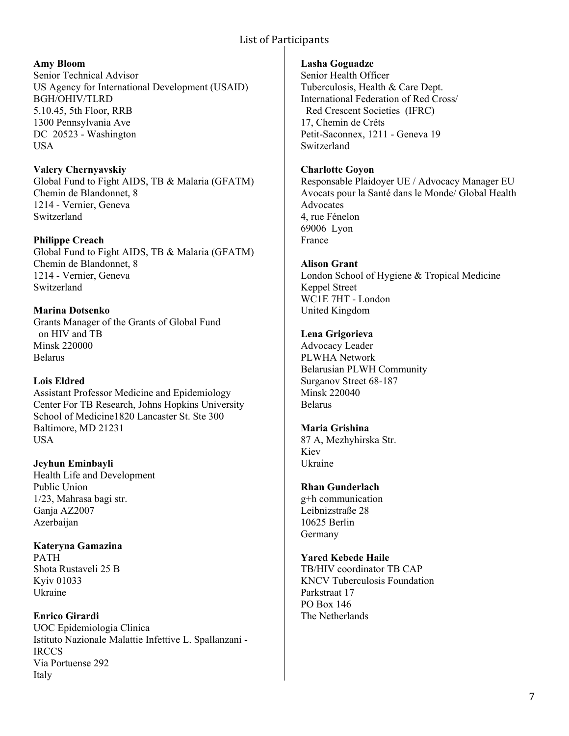### **Amy Bloom**

Senior Technical Advisor US Agency for International Development (USAID) BGH/OHIV/TLRD 5.10.45, 5th Floor, RRB 1300 Pennsylvania Ave DC 20523 - Washington **USA** 

**Valery Chernyavskiy**  Global Fund to Fight AIDS, TB & Malaria (GFATM) Chemin de Blandonnet, 8 1214 - Vernier, Geneva Switzerland

**Philippe Creach** 

Global Fund to Fight AIDS, TB & Malaria (GFATM) Chemin de Blandonnet, 8 1214 - Vernier, Geneva Switzerland

**Marina Dotsenko**  Grants Manager of the Grants of Global Fund on HIV and TB Minsk 220000 Belarus

### **Lois Eldred**

Assistant Professor Medicine and Epidemiology Center For TB Research, Johns Hopkins University School of Medicine1820 Lancaster St. Ste 300 Baltimore, MD 21231 USA

**Jeyhun Eminbayli**  Health Life and Development Public Union 1/23, Mahrasa bagi str. Ganja AZ2007 Azerbaijan

**Kateryna Gamazina**  PATH Shota Rustaveli 25 B Kyiv 01033 Ukraine

**Enrico Girardi**  UOC Epidemiologia Clinica Istituto Nazionale Malattie Infettive L. Spallanzani - IRCCS Via Portuense 292 Italy

### **Lasha Goguadze**

Senior Health Officer Tuberculosis, Health & Care Dept. International Federation of Red Cross/ Red Crescent Societies (IFRC) 17, Chemin de Crêts Petit-Saconnex, 1211 - Geneva 19 Switzerland

### **Charlotte Goyon**

Responsable Plaidoyer UE / Advocacy Manager EU Avocats pour la Santé dans le Monde/ Global Health Advocates 4, rue Fénelon 69006 Lyon France

### **Alison Grant**

London School of Hygiene & Tropical Medicine Keppel Street WC1E 7HT - London United Kingdom

### **Lena Grigorieva**

Advocacy Leader PLWHA Network Belarusian PLWH Community Surganov Street 68-187 Minsk 220040 Belarus

## **Maria Grishina**

87 A, Mezhyhirska Str. Kiev Ukraine

## **Rhan Gunderlach**

g+h communication Leibnizstraße 28 10625 Berlin Germany

**Yared Kebede Haile** 

TB/HIV coordinator TB CAP KNCV Tuberculosis Foundation Parkstraat 17 PO Box 146 The Netherlands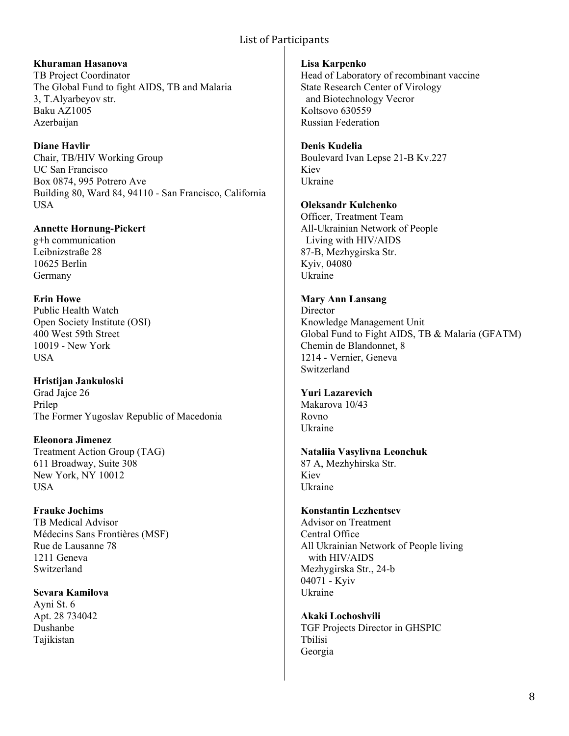**Khuraman Hasanova**  TB Project Coordinator The Global Fund to fight AIDS, TB and Malaria 3, T.Alyarbeyov str. Baku AZ1005 Azerbaijan

**Diane Havlir**  Chair, TB/HIV Working Group UC San Francisco Box 0874, 995 Potrero Ave Building 80, Ward 84, 94110 - San Francisco, California USA

**Annette Hornung-Pickert**  g+h communication Leibnizstraße 28 10625 Berlin Germany

**Erin Howe**  Public Health Watch Open Society Institute (OSI) 400 West 59th Street 10019 - New York USA

**Hristijan Jankuloski**  Grad Jajce 26 Prilep The Former Yugoslav Republic of Macedonia

**Eleonora Jimenez**  Treatment Action Group (TAG) 611 Broadway, Suite 308 New York, NY 10012 USA

**Frauke Jochims**  TB Medical Advisor Médecins Sans Frontières (MSF) Rue de Lausanne 78 1211 Geneva Switzerland

**Sevara Kamilova**  Ayni St. 6 Apt. 28 734042 Dushanbe Tajikistan

**Lisa Karpenko**  Head of Laboratory of recombinant vaccine State Research Center of Virology and Biotechnology Vecror Koltsovo 630559 Russian Federation

**Denis Kudelia**  Boulevard Ivan Lepse 21-B Kv.227 Kiev Ukraine

# **Oleksandr Kulchenko**

Officer, Treatment Team All-Ukrainian Network of People Living with HIV/AIDS 87-B, Mezhygirska Str. Kyiv, 04080 Ukraine

#### **Mary Ann Lansang**

**Director** Knowledge Management Unit Global Fund to Fight AIDS, TB & Malaria (GFATM) Chemin de Blandonnet, 8 1214 - Vernier, Geneva Switzerland

### **Yuri Lazarevich**

Makarova 10/43 Rovno Ukraine

**Nataliia Vasylivna Leonchuk** 

87 A, Mezhyhirska Str. Kiev Ukraine

## **Konstantin Lezhentsev**

Advisor on Treatment Central Office All Ukrainian Network of People living with HIV/AIDS Mezhygirska Str., 24-b 04071 - Kyiv Ukraine

**Akaki Lochoshvili**  TGF Projects Director in GHSPIC Tbilisi Georgia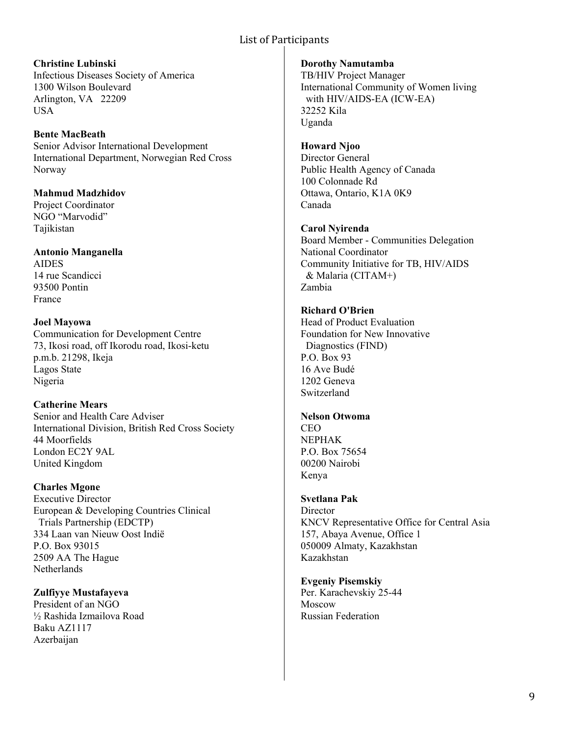**Christine Lubinski**  Infectious Diseases Society of America 1300 Wilson Boulevard Arlington, VA 22209 **USA** 

**Bente MacBeath**  Senior Advisor International Development International Department, Norwegian Red Cross Norway

**Mahmud Madzhidov**  Project Coordinator NGO "Marvodid" Tajikistan

**Antonio Manganella**  AIDES 14 rue Scandicci 93500 Pontin France

**Joel Mayowa**  Communication for Development Centre 73, Ikosi road, off Ikorodu road, Ikosi-ketu p.m.b. 21298, Ikeja Lagos State Nigeria

**Catherine Mears**  Senior and Health Care Adviser International Division, British Red Cross Society 44 Moorfields London EC2Y 9AL United Kingdom

**Charles Mgone**  Executive Director European & Developing Countries Clinical Trials Partnership (EDCTP) 334 Laan van Nieuw Oost Indië P.O. Box 93015 2509 AA The Hague **Netherlands** 

**Zulfiyye Mustafayeva**  President of an NGO ½ Rashida Izmailova Road Baku AZ1117 Azerbaijan

**Dorothy Namutamba**  TB/HIV Project Manager International Community of Women living with HIV/AIDS-EA (ICW-EA) 32252 Kila Uganda

**Howard Njoo**  Director General Public Health Agency of Canada 100 Colonnade Rd Ottawa, Ontario, K1A 0K9 Canada

**Carol Nyirenda**  Board Member - Communities Delegation National Coordinator Community Initiative for TB, HIV/AIDS & Malaria (CITAM+) Zambia

**Richard O'Brien**  Head of Product Evaluation Foundation for New Innovative Diagnostics (FIND) P.O. Box 93 16 Ave Budé 1202 Geneva Switzerland

**Nelson Otwoma**  CEO NEPHAK P.O. Box 75654 00200 Nairobi Kenya

**Svetlana Pak**  Director KNCV Representative Office for Central Asia 157, Abaya Avenue, Office 1 050009 Almaty, Kazakhstan Kazakhstan

**Evgeniy Pisemskiy**  Per. Karachevskiy 25-44 Moscow Russian Federation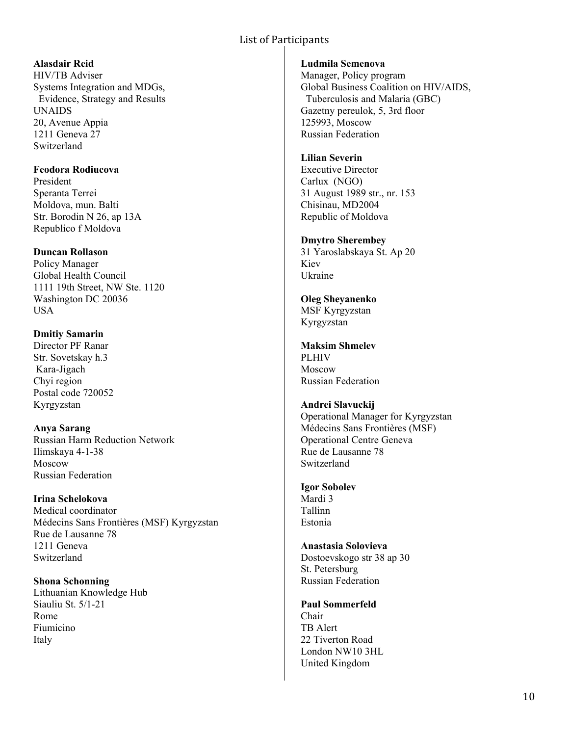### **Alasdair Reid**

HIV/TB Adviser Systems Integration and MDGs, Evidence, Strategy and Results UNAIDS 20, Avenue Appia 1211 Geneva 27 Switzerland

### **Feodora Rodiucova**

President Speranta Terrei Moldova, mun. Balti Str. Borodin N 26, ap 13A Republico f Moldova

## **Duncan Rollason**

Policy Manager Global Health Council 1111 19th Street, NW Ste. 1120 Washington DC 20036 USA

# **Dmitiy Samarin**

Director PF Ranar Str. Sovetskay h.3 Kara-Jigach Chyi region Postal code 720052 Kyrgyzstan

## **Anya Sarang**

Russian Harm Reduction Network Ilimskaya 4-1-38 Moscow Russian Federation

## **Irina Schelokova**

Medical coordinator Médecins Sans Frontières (MSF) Kyrgyzstan Rue de Lausanne 78 1211 Geneva Switzerland

**Shona Schonning**  Lithuanian Knowledge Hub Siauliu St. 5/1-21 Rome Fiumicino Italy

### **Ludmila Semenova**

Manager, Policy program Global Business Coalition on HIV/AIDS, Tuberculosis and Malaria (GBC) Gazetny pereulok, 5, 3rd floor 125993, Moscow Russian Federation

### **Lilian Severin**

Executive Director Carlux (NGO) 31 August 1989 str., nr. 153 Chisinau, MD2004 Republic of Moldova

### **Dmytro Sherembey**

31 Yaroslabskaya St. Ap 20 Kiev Ukraine

### **Oleg Sheyanenko**  MSF Kyrgyzstan

Kyrgyzstan

#### **Maksim Shmelev**  PLHIV

Moscow Russian Federation

## **Andrei Slavuckij**

Operational Manager for Kyrgyzstan Médecins Sans Frontières (MSF) Operational Centre Geneva Rue de Lausanne 78 Switzerland

## **Igor Sobolev**

Mardi 3 Tallinn Estonia

#### **Anastasia Solovieva**  Dostoevskogo str 38 ap 30

St. Petersburg Russian Federation

### **Paul Sommerfeld**

Chair TB Alert 22 Tiverton Road London NW10 3HL United Kingdom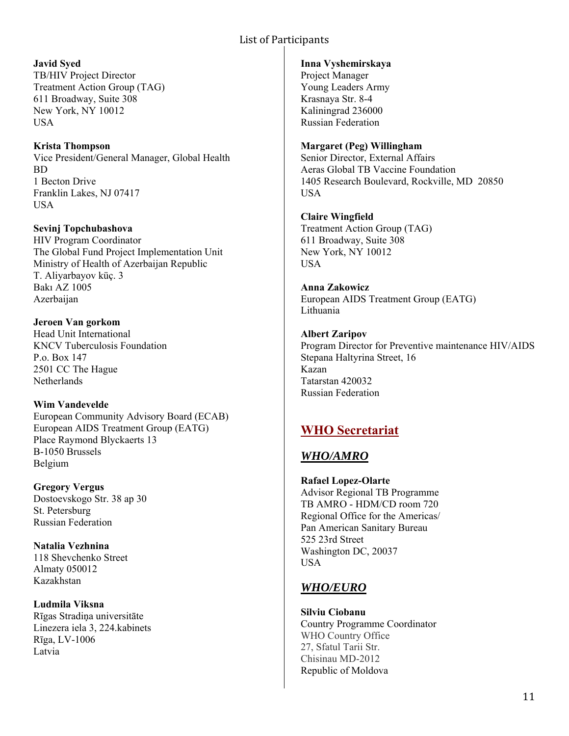**Javid Syed**  TB/HIV Project Director Treatment Action Group (TAG) 611 Broadway, Suite 308 New York, NY 10012 USA

**Krista Thompson**  Vice President/General Manager, Global Health BD 1 Becton Drive Franklin Lakes, NJ 07417 USA

**Sevinj Topchubashova**  HIV Program Coordinator The Global Fund Project Implementation Unit Ministry of Health of Azerbaijan Republic T. Aliyarbayov küç. 3 Bakı AZ 1005 Azerbaijan

**Jeroen Van gorkom**  Head Unit International KNCV Tuberculosis Foundation P.o. Box 147 2501 CC The Hague **Netherlands** 

**Wim Vandevelde**  European Community Advisory Board (ECAB) European AIDS Treatment Group (EATG) Place Raymond Blyckaerts 13 B-1050 Brussels Belgium

**Gregory Vergus**  Dostoevskogo Str. 38 ap 30 St. Petersburg Russian Federation

**Natalia Vezhnina**  118 Shevchenko Street Almaty 050012 Kazakhstan

**Ludmila Viksna**  Rīgas Stradiņa universitāte Linezera iela 3, 224.kabinets Rīga, LV-1006 Latvia

#### **Inna Vyshemirskaya**

Project Manager Young Leaders Army Krasnaya Str. 8-4 Kaliningrad 236000 Russian Federation

#### **Margaret (Peg) Willingham**

Senior Director, External Affairs Aeras Global TB Vaccine Foundation 1405 Research Boulevard, Rockville, MD 20850 USA

**Claire Wingfield**  Treatment Action Group (TAG) 611 Broadway, Suite 308 New York, NY 10012 **USA** 

**Anna Zakowicz**  European AIDS Treatment Group (EATG) Lithuania

**Albert Zaripov**  Program Director for Preventive maintenance HIV/AIDS Stepana Haltyrina Street, 16 Kazan Tatarstan 420032 Russian Federation

# **WHO Secretariat**

## *WHO/AMRO*

**Rafael Lopez-Olarte**  Advisor Regional TB Programme TB AMRO - HDM/CD room 720 Regional Office for the Americas/ Pan American Sanitary Bureau 525 23rd Street Washington DC, 20037 USA

## *WHO/EURO*

**Silviu Ciobanu**  Country Programme Coordinator WHO Country Office 27, Sfatul Tarii Str. Chisinau MD-2012 Republic of Moldova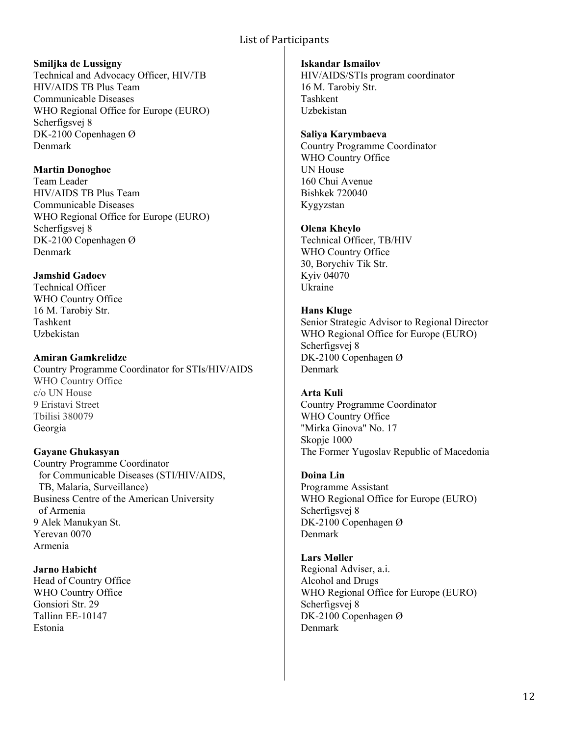#### **Smiljka de Lussigny**

Technical and Advocacy Officer, HIV/TB HIV/AIDS TB Plus Team Communicable Diseases WHO Regional Office for Europe (EURO) Scherfigsvej 8 DK-2100 Copenhagen Ø Denmark

### **Martin Donoghoe**

Team Leader HIV/AIDS TB Plus Team Communicable Diseases WHO Regional Office for Europe (EURO) Scherfigsvej 8 DK-2100 Copenhagen Ø Denmark

## **Jamshid Gadoev**

Technical Officer WHO Country Office 16 M. Tarobiy Str. Tashkent Uzbekistan

**Amiran Gamkrelidze**  Country Programme Coordinator for STIs/HIV/AIDS WHO Country Office c/o UN House 9 Eristavi Street Tbilisi 380079 Georgia

## **Gayane Ghukasyan**

Country Programme Coordinator for Communicable Diseases (STI/HIV/AIDS, TB, Malaria, Surveillance) Business Centre of the American University of Armenia 9 Alek Manukyan St. Yerevan 0070 Armenia

### **Jarno Habicht**

Head of Country Office WHO Country Office Gonsiori Str. 29 Tallinn EE-10147 Estonia

**Iskandar Ismailov**  HIV/AIDS/STIs program coordinator 16 M. Tarobiy Str. Tashkent Uzbekistan

### **Saliya Karymbaeva**

Country Programme Coordinator WHO Country Office UN House 160 Chui Avenue Bishkek 720040 Kygyzstan

### **Olena Kheylo**

Technical Officer, TB/HIV WHO Country Office 30, Borychiv Tik Str. Kyiv 04070 Ukraine

### **Hans Kluge**

Senior Strategic Advisor to Regional Director WHO Regional Office for Europe (EURO) Scherfigsvej 8 DK-2100 Copenhagen Ø Denmark

### **Arta Kuli**

Country Programme Coordinator WHO Country Office "Mirka Ginova" No. 17 Skopje 1000 The Former Yugoslav Republic of Macedonia

# **Doina Lin**

Programme Assistant WHO Regional Office for Europe (EURO) Scherfigsvej 8 DK-2100 Copenhagen Ø Denmark

#### **Lars Møller**  Regional Adviser, a.i. Alcohol and Drugs WHO Regional Office for Europe (EURO) Scherfigsvej 8 DK-2100 Copenhagen Ø Denmark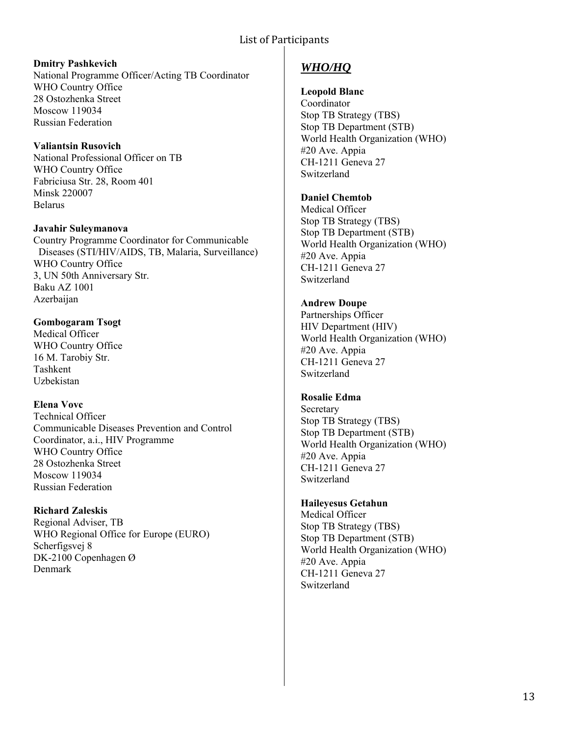#### **Dmitry Pashkevich**

National Programme Officer/Acting TB Coordinator WHO Country Office 28 Ostozhenka Street Moscow 119034 Russian Federation

**Valiantsin Rusovich**  National Professional Officer on TB WHO Country Office Fabriciusa Str. 28, Room 401 Minsk 220007 Belarus

**Javahir Suleymanova** 

Country Programme Coordinator for Communicable Diseases (STI/HIV/AIDS, TB, Malaria, Surveillance) WHO Country Office 3, UN 50th Anniversary Str. Baku AZ 1001 Azerbaijan

### **Gombogaram Tsogt**

Medical Officer WHO Country Office 16 M. Tarobiy Str. Tashkent Uzbekistan

#### **Elena Vovc**

Technical Officer Communicable Diseases Prevention and Control Coordinator, a.i., HIV Programme WHO Country Office 28 Ostozhenka Street Moscow 119034 Russian Federation

### **Richard Zaleskis**

Regional Adviser, TB WHO Regional Office for Europe (EURO) Scherfigsvej 8 DK-2100 Copenhagen Ø Denmark

# *WHO/HQ*

### **Leopold Blanc**

Coordinator Stop TB Strategy (TBS) Stop TB Department (STB) World Health Organization (WHO) #20 Ave. Appia CH-1211 Geneva 27 Switzerland

# **Daniel Chemtob**

Medical Officer Stop TB Strategy (TBS) Stop TB Department (STB) World Health Organization (WHO) #20 Ave. Appia CH-1211 Geneva 27 Switzerland

### **Andrew Doupe**

Partnerships Officer HIV Department (HIV) World Health Organization (WHO) #20 Ave. Appia CH-1211 Geneva 27 Switzerland

#### **Rosalie Edma**

**Secretary** Stop TB Strategy (TBS) Stop TB Department (STB) World Health Organization (WHO) #20 Ave. Appia CH-1211 Geneva 27 Switzerland

#### **Haileyesus Getahun**

Medical Officer Stop TB Strategy (TBS) Stop TB Department (STB) World Health Organization (WHO) #20 Ave. Appia CH-1211 Geneva 27 Switzerland